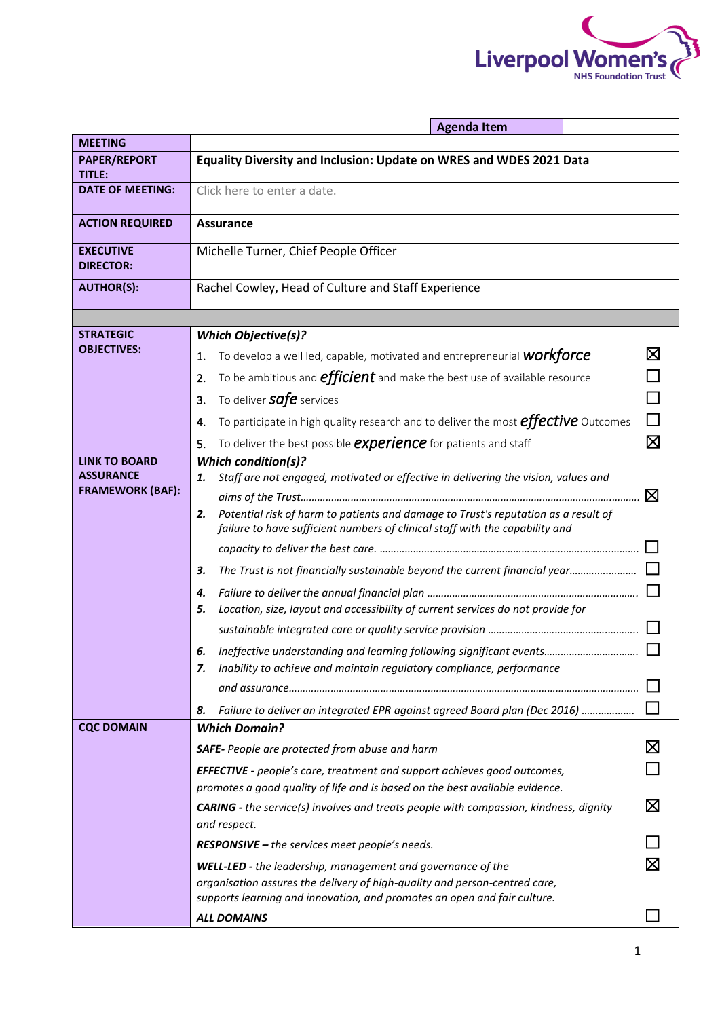

|                                             | <b>Agenda Item</b>                                                                                                                                                       |             |  |  |
|---------------------------------------------|--------------------------------------------------------------------------------------------------------------------------------------------------------------------------|-------------|--|--|
| <b>MEETING</b>                              |                                                                                                                                                                          |             |  |  |
| <b>PAPER/REPORT</b><br><b>TITLE:</b>        | Equality Diversity and Inclusion: Update on WRES and WDES 2021 Data                                                                                                      |             |  |  |
| <b>DATE OF MEETING:</b>                     | Click here to enter a date.                                                                                                                                              |             |  |  |
| <b>ACTION REQUIRED</b>                      | <b>Assurance</b>                                                                                                                                                         |             |  |  |
| <b>EXECUTIVE</b><br><b>DIRECTOR:</b>        | Michelle Turner, Chief People Officer                                                                                                                                    |             |  |  |
| <b>AUTHOR(S):</b>                           | Rachel Cowley, Head of Culture and Staff Experience                                                                                                                      |             |  |  |
|                                             |                                                                                                                                                                          |             |  |  |
| <b>STRATEGIC</b>                            | <b>Which Objective(s)?</b>                                                                                                                                               |             |  |  |
| <b>OBJECTIVES:</b>                          | To develop a well led, capable, motivated and entrepreneurial <b>WOrkforce</b><br>1.                                                                                     | ⊠           |  |  |
|                                             | To be ambitious and <b>efficient</b> and make the best use of available resource<br>2.                                                                                   |             |  |  |
|                                             | To deliver <b>safe</b> services<br>3.                                                                                                                                    |             |  |  |
|                                             | П<br>To participate in high quality research and to deliver the most <b>effective</b> Outcomes<br>4.                                                                     |             |  |  |
|                                             | To deliver the best possible <b>experience</b> for patients and staff<br>5.                                                                                              | $\boxtimes$ |  |  |
| <b>LINK TO BOARD</b>                        | <b>Which condition(s)?</b>                                                                                                                                               |             |  |  |
| <b>ASSURANCE</b><br><b>FRAMEWORK (BAF):</b> | Staff are not engaged, motivated or effective in delivering the vision, values and<br>1.                                                                                 |             |  |  |
|                                             |                                                                                                                                                                          | ⊠           |  |  |
|                                             | Potential risk of harm to patients and damage to Trust's reputation as a result of<br>2.<br>failure to have sufficient numbers of clinical staff with the capability and |             |  |  |
|                                             |                                                                                                                                                                          |             |  |  |
|                                             | The Trust is not financially sustainable beyond the current financial year<br>З.                                                                                         |             |  |  |
|                                             | 4.                                                                                                                                                                       |             |  |  |
|                                             | Location, size, layout and accessibility of current services do not provide for<br>5.                                                                                    |             |  |  |
|                                             |                                                                                                                                                                          |             |  |  |
|                                             | Ineffective understanding and learning following significant events<br>6.                                                                                                |             |  |  |
|                                             | Inability to achieve and maintain regulatory compliance, performance<br>7.                                                                                               |             |  |  |
|                                             |                                                                                                                                                                          |             |  |  |
| <b>CQC DOMAIN</b>                           | Failure to deliver an integrated EPR against agreed Board plan (Dec 2016)<br>8.<br><b>Which Domain?</b>                                                                  |             |  |  |
|                                             | <b>SAFE-</b> People are protected from abuse and harm                                                                                                                    | ⊠           |  |  |
|                                             |                                                                                                                                                                          |             |  |  |
|                                             | <b>EFFECTIVE</b> - people's care, treatment and support achieves good outcomes,<br>promotes a good quality of life and is based on the best available evidence.          |             |  |  |
|                                             | <b>CARING</b> - the service(s) involves and treats people with compassion, kindness, dignity<br>and respect.                                                             |             |  |  |
|                                             | <b>RESPONSIVE - the services meet people's needs.</b>                                                                                                                    |             |  |  |
|                                             | ⊠<br><b>WELL-LED</b> - the leadership, management and governance of the                                                                                                  |             |  |  |
|                                             | organisation assures the delivery of high-quality and person-centred care,                                                                                               |             |  |  |
|                                             | supports learning and innovation, and promotes an open and fair culture.                                                                                                 |             |  |  |
|                                             | <b>ALL DOMAINS</b>                                                                                                                                                       |             |  |  |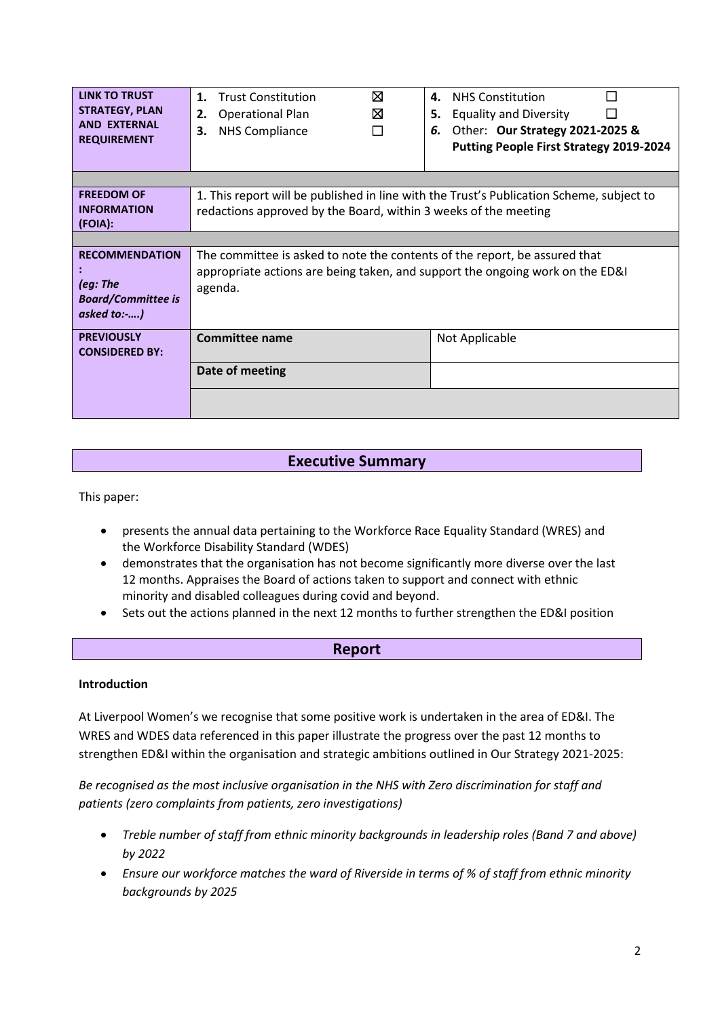| <b>LINK TO TRUST</b><br><b>STRATEGY, PLAN</b><br><b>AND EXTERNAL</b><br><b>REQUIREMENT</b> | <b>Trust Constitution</b><br>1.<br><b>Operational Plan</b><br>2.<br><b>NHS Compliance</b><br>3.                                                                        | ⊠<br>4.<br>⊠<br>5.<br>П<br>6. | <b>NHS Constitution</b><br><b>Equality and Diversity</b><br>Other: Our Strategy 2021-2025 &<br>Putting People First Strategy 2019-2024 |  |
|--------------------------------------------------------------------------------------------|------------------------------------------------------------------------------------------------------------------------------------------------------------------------|-------------------------------|----------------------------------------------------------------------------------------------------------------------------------------|--|
| <b>FREEDOM OF</b><br><b>INFORMATION</b><br>(FOIA):                                         | 1. This report will be published in line with the Trust's Publication Scheme, subject to<br>redactions approved by the Board, within 3 weeks of the meeting            |                               |                                                                                                                                        |  |
| <b>RECOMMENDATION</b><br>(eg: The<br><b>Board/Committee is</b><br>asked to:-)              | The committee is asked to note the contents of the report, be assured that<br>appropriate actions are being taken, and support the ongoing work on the ED&I<br>agenda. |                               |                                                                                                                                        |  |
| <b>PREVIOUSLY</b><br><b>CONSIDERED BY:</b>                                                 | <b>Committee name</b><br>Date of meeting                                                                                                                               |                               | Not Applicable                                                                                                                         |  |
|                                                                                            |                                                                                                                                                                        |                               |                                                                                                                                        |  |

# **Executive Summary**

This paper:

- presents the annual data pertaining to the Workforce Race Equality Standard (WRES) and the Workforce Disability Standard (WDES)
- demonstrates that the organisation has not become significantly more diverse over the last 12 months. Appraises the Board of actions taken to support and connect with ethnic minority and disabled colleagues during covid and beyond.
- Sets out the actions planned in the next 12 months to further strengthen the ED&I position

## **Report**

## **Introduction**

At Liverpool Women's we recognise that some positive work is undertaken in the area of ED&I. The WRES and WDES data referenced in this paper illustrate the progress over the past 12 months to strengthen ED&I within the organisation and strategic ambitions outlined in Our Strategy 2021-2025:

*Be recognised as the most inclusive organisation in the NHS with Zero discrimination for staff and patients (zero complaints from patients, zero investigations)* 

- *Treble number of staff from ethnic minority backgrounds in leadership roles (Band 7 and above) by 2022*
- *Ensure our workforce matches the ward of Riverside in terms of % of staff from ethnic minority backgrounds by 2025*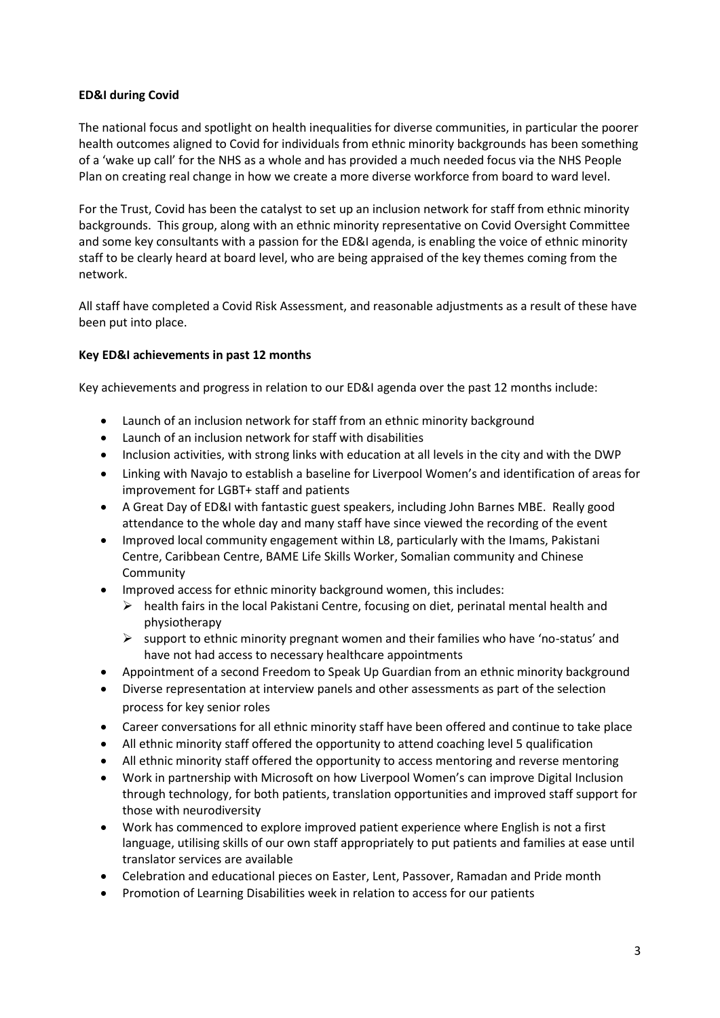### **ED&I during Covid**

The national focus and spotlight on health inequalities for diverse communities, in particular the poorer health outcomes aligned to Covid for individuals from ethnic minority backgrounds has been something of a 'wake up call' for the NHS as a whole and has provided a much needed focus via the NHS People Plan on creating real change in how we create a more diverse workforce from board to ward level.

For the Trust, Covid has been the catalyst to set up an inclusion network for staff from ethnic minority backgrounds. This group, along with an ethnic minority representative on Covid Oversight Committee and some key consultants with a passion for the ED&I agenda, is enabling the voice of ethnic minority staff to be clearly heard at board level, who are being appraised of the key themes coming from the network.

All staff have completed a Covid Risk Assessment, and reasonable adjustments as a result of these have been put into place.

#### **Key ED&I achievements in past 12 months**

Key achievements and progress in relation to our ED&I agenda over the past 12 months include:

- Launch of an inclusion network for staff from an ethnic minority background
- Launch of an inclusion network for staff with disabilities
- Inclusion activities, with strong links with education at all levels in the city and with the DWP
- Linking with Navajo to establish a baseline for Liverpool Women's and identification of areas for improvement for LGBT+ staff and patients
- A Great Day of ED&I with fantastic guest speakers, including John Barnes MBE. Really good attendance to the whole day and many staff have since viewed the recording of the event
- Improved local community engagement within L8, particularly with the Imams, Pakistani Centre, Caribbean Centre, BAME Life Skills Worker, Somalian community and Chinese Community
- Improved access for ethnic minority background women, this includes:
	- $\triangleright$  health fairs in the local Pakistani Centre, focusing on diet, perinatal mental health and physiotherapy
	- $\triangleright$  support to ethnic minority pregnant women and their families who have 'no-status' and have not had access to necessary healthcare appointments
- Appointment of a second Freedom to Speak Up Guardian from an ethnic minority background
- Diverse representation at interview panels and other assessments as part of the selection process for key senior roles
- Career conversations for all ethnic minority staff have been offered and continue to take place
- All ethnic minority staff offered the opportunity to attend coaching level 5 qualification
- All ethnic minority staff offered the opportunity to access mentoring and reverse mentoring
- Work in partnership with Microsoft on how Liverpool Women's can improve Digital Inclusion through technology, for both patients, translation opportunities and improved staff support for those with neurodiversity
- Work has commenced to explore improved patient experience where English is not a first language, utilising skills of our own staff appropriately to put patients and families at ease until translator services are available
- Celebration and educational pieces on Easter, Lent, Passover, Ramadan and Pride month
- Promotion of Learning Disabilities week in relation to access for our patients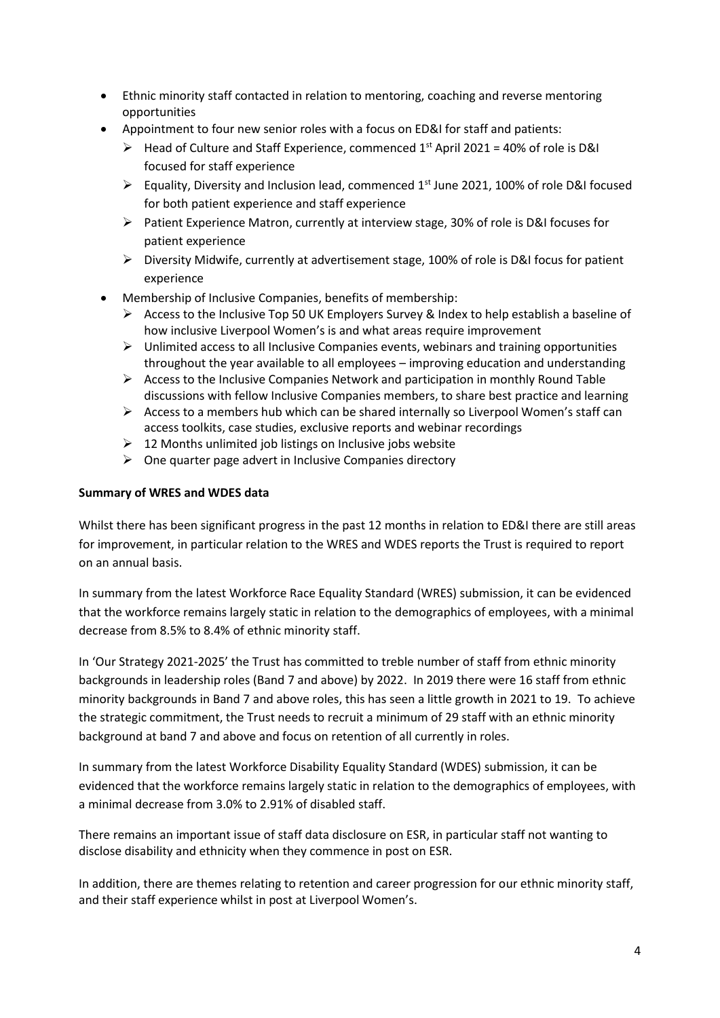- Ethnic minority staff contacted in relation to mentoring, coaching and reverse mentoring opportunities
- Appointment to four new senior roles with a focus on ED&I for staff and patients:
	- $\triangleright$  Head of Culture and Staff Experience, commenced 1<sup>st</sup> April 2021 = 40% of role is D&I focused for staff experience
	- $\triangleright$  Equality, Diversity and Inclusion lead, commenced 1<sup>st</sup> June 2021, 100% of role D&I focused for both patient experience and staff experience
	- ➢ Patient Experience Matron, currently at interview stage, 30% of role is D&I focuses for patient experience
	- $\triangleright$  Diversity Midwife, currently at advertisement stage, 100% of role is D&I focus for patient experience
- Membership of Inclusive Companies, benefits of membership:
	- $\triangleright$  Access to the Inclusive Top 50 UK Employers Survey & Index to help establish a baseline of how inclusive Liverpool Women's is and what areas require improvement
	- $\triangleright$  Unlimited access to all Inclusive Companies events, webinars and training opportunities throughout the year available to all employees – improving education and understanding
	- $\triangleright$  Access to the Inclusive Companies Network and participation in monthly Round Table discussions with fellow Inclusive Companies members, to share best practice and learning
	- ➢ Access to a members hub which can be shared internally so Liverpool Women's staff can access toolkits, case studies, exclusive reports and webinar recordings
	- $\geq 12$  Months unlimited job listings on Inclusive jobs website
	- $\triangleright$  One quarter page advert in Inclusive Companies directory

#### **Summary of WRES and WDES data**

Whilst there has been significant progress in the past 12 months in relation to ED&I there are still areas for improvement, in particular relation to the WRES and WDES reports the Trust is required to report on an annual basis.

In summary from the latest Workforce Race Equality Standard (WRES) submission, it can be evidenced that the workforce remains largely static in relation to the demographics of employees, with a minimal decrease from 8.5% to 8.4% of ethnic minority staff.

In 'Our Strategy 2021-2025' the Trust has committed to treble number of staff from ethnic minority backgrounds in leadership roles (Band 7 and above) by 2022. In 2019 there were 16 staff from ethnic minority backgrounds in Band 7 and above roles, this has seen a little growth in 2021 to 19. To achieve the strategic commitment, the Trust needs to recruit a minimum of 29 staff with an ethnic minority background at band 7 and above and focus on retention of all currently in roles.

In summary from the latest Workforce Disability Equality Standard (WDES) submission, it can be evidenced that the workforce remains largely static in relation to the demographics of employees, with a minimal decrease from 3.0% to 2.91% of disabled staff.

There remains an important issue of staff data disclosure on ESR, in particular staff not wanting to disclose disability and ethnicity when they commence in post on ESR.

In addition, there are themes relating to retention and career progression for our ethnic minority staff, and their staff experience whilst in post at Liverpool Women's.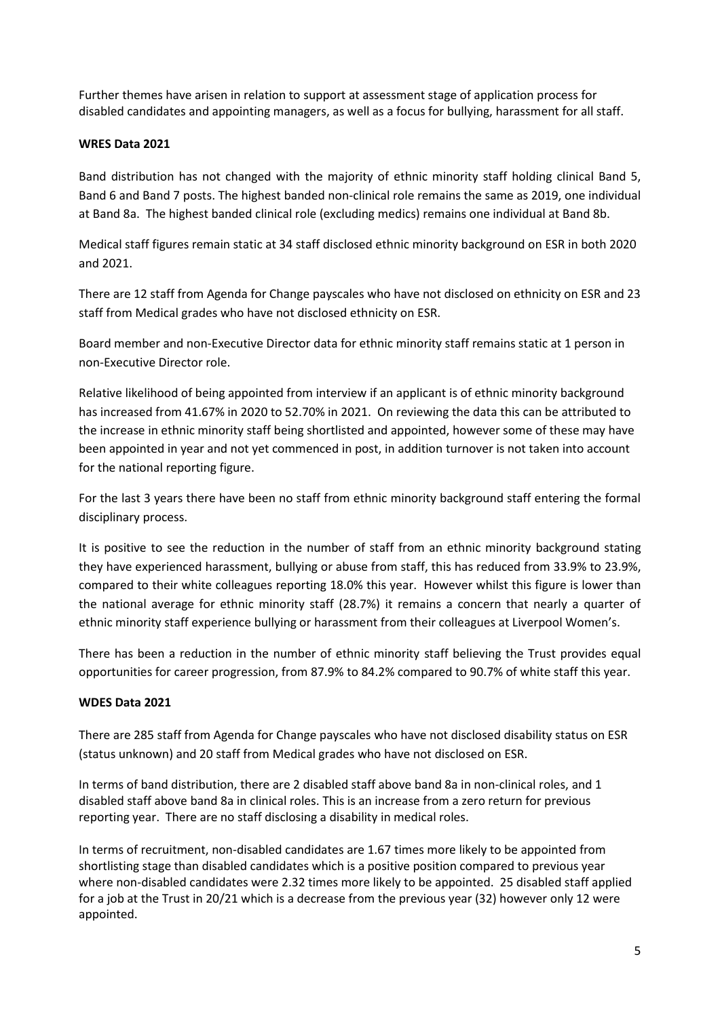Further themes have arisen in relation to support at assessment stage of application process for disabled candidates and appointing managers, as well as a focus for bullying, harassment for all staff.

## **WRES Data 2021**

Band distribution has not changed with the majority of ethnic minority staff holding clinical Band 5, Band 6 and Band 7 posts. The highest banded non-clinical role remains the same as 2019, one individual at Band 8a. The highest banded clinical role (excluding medics) remains one individual at Band 8b.

Medical staff figures remain static at 34 staff disclosed ethnic minority background on ESR in both 2020 and 2021.

There are 12 staff from Agenda for Change payscales who have not disclosed on ethnicity on ESR and 23 staff from Medical grades who have not disclosed ethnicity on ESR.

Board member and non-Executive Director data for ethnic minority staff remains static at 1 person in non-Executive Director role.

Relative likelihood of being appointed from interview if an applicant is of ethnic minority background has increased from 41.67% in 2020 to 52.70% in 2021. On reviewing the data this can be attributed to the increase in ethnic minority staff being shortlisted and appointed, however some of these may have been appointed in year and not yet commenced in post, in addition turnover is not taken into account for the national reporting figure.

For the last 3 years there have been no staff from ethnic minority background staff entering the formal disciplinary process.

It is positive to see the reduction in the number of staff from an ethnic minority background stating they have experienced harassment, bullying or abuse from staff, this has reduced from 33.9% to 23.9%, compared to their white colleagues reporting 18.0% this year. However whilst this figure is lower than the national average for ethnic minority staff (28.7%) it remains a concern that nearly a quarter of ethnic minority staff experience bullying or harassment from their colleagues at Liverpool Women's.

There has been a reduction in the number of ethnic minority staff believing the Trust provides equal opportunities for career progression, from 87.9% to 84.2% compared to 90.7% of white staff this year.

## **WDES Data 2021**

There are 285 staff from Agenda for Change payscales who have not disclosed disability status on ESR (status unknown) and 20 staff from Medical grades who have not disclosed on ESR.

In terms of band distribution, there are 2 disabled staff above band 8a in non-clinical roles, and 1 disabled staff above band 8a in clinical roles. This is an increase from a zero return for previous reporting year. There are no staff disclosing a disability in medical roles.

In terms of recruitment, non-disabled candidates are 1.67 times more likely to be appointed from shortlisting stage than disabled candidates which is a positive position compared to previous year where non-disabled candidates were 2.32 times more likely to be appointed. 25 disabled staff applied for a job at the Trust in 20/21 which is a decrease from the previous year (32) however only 12 were appointed.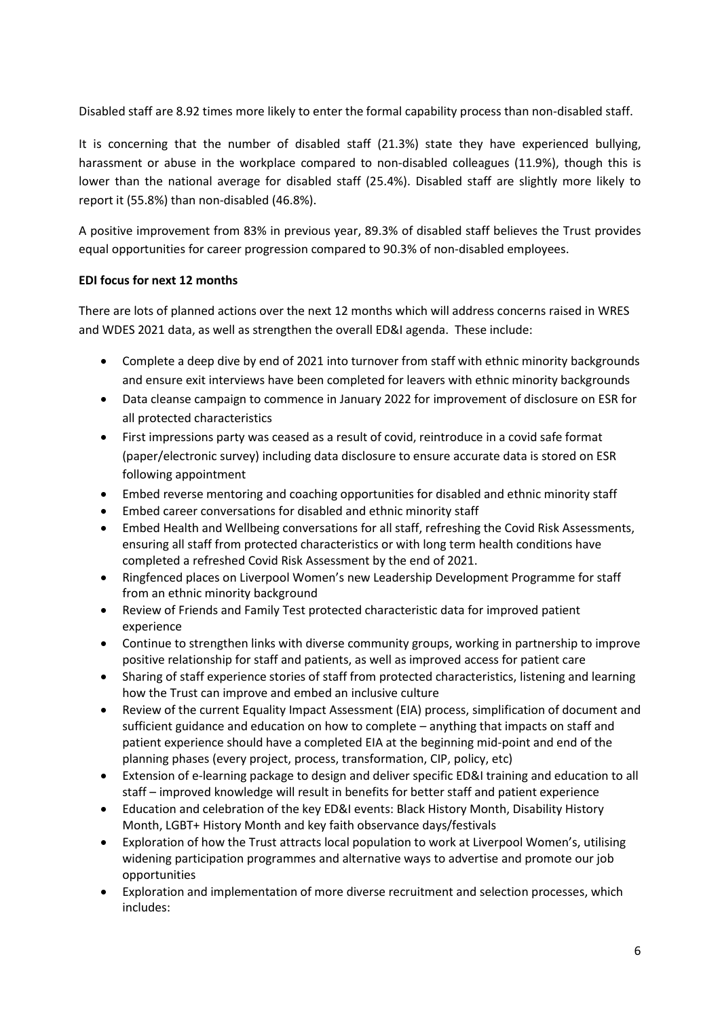Disabled staff are 8.92 times more likely to enter the formal capability process than non-disabled staff.

It is concerning that the number of disabled staff (21.3%) state they have experienced bullying, harassment or abuse in the workplace compared to non-disabled colleagues (11.9%), though this is lower than the national average for disabled staff (25.4%). Disabled staff are slightly more likely to report it (55.8%) than non-disabled (46.8%).

A positive improvement from 83% in previous year, 89.3% of disabled staff believes the Trust provides equal opportunities for career progression compared to 90.3% of non-disabled employees.

## **EDI focus for next 12 months**

There are lots of planned actions over the next 12 months which will address concerns raised in WRES and WDES 2021 data, as well as strengthen the overall ED&I agenda. These include:

- Complete a deep dive by end of 2021 into turnover from staff with ethnic minority backgrounds and ensure exit interviews have been completed for leavers with ethnic minority backgrounds
- Data cleanse campaign to commence in January 2022 for improvement of disclosure on ESR for all protected characteristics
- First impressions party was ceased as a result of covid, reintroduce in a covid safe format (paper/electronic survey) including data disclosure to ensure accurate data is stored on ESR following appointment
- Embed reverse mentoring and coaching opportunities for disabled and ethnic minority staff
- Embed career conversations for disabled and ethnic minority staff
- Embed Health and Wellbeing conversations for all staff, refreshing the Covid Risk Assessments, ensuring all staff from protected characteristics or with long term health conditions have completed a refreshed Covid Risk Assessment by the end of 2021.
- Ringfenced places on Liverpool Women's new Leadership Development Programme for staff from an ethnic minority background
- Review of Friends and Family Test protected characteristic data for improved patient experience
- Continue to strengthen links with diverse community groups, working in partnership to improve positive relationship for staff and patients, as well as improved access for patient care
- Sharing of staff experience stories of staff from protected characteristics, listening and learning how the Trust can improve and embed an inclusive culture
- Review of the current Equality Impact Assessment (EIA) process, simplification of document and sufficient guidance and education on how to complete – anything that impacts on staff and patient experience should have a completed EIA at the beginning mid-point and end of the planning phases (every project, process, transformation, CIP, policy, etc)
- Extension of e-learning package to design and deliver specific ED&I training and education to all staff – improved knowledge will result in benefits for better staff and patient experience
- Education and celebration of the key ED&I events: Black History Month, Disability History Month, LGBT+ History Month and key faith observance days/festivals
- Exploration of how the Trust attracts local population to work at Liverpool Women's, utilising widening participation programmes and alternative ways to advertise and promote our job opportunities
- Exploration and implementation of more diverse recruitment and selection processes, which includes: